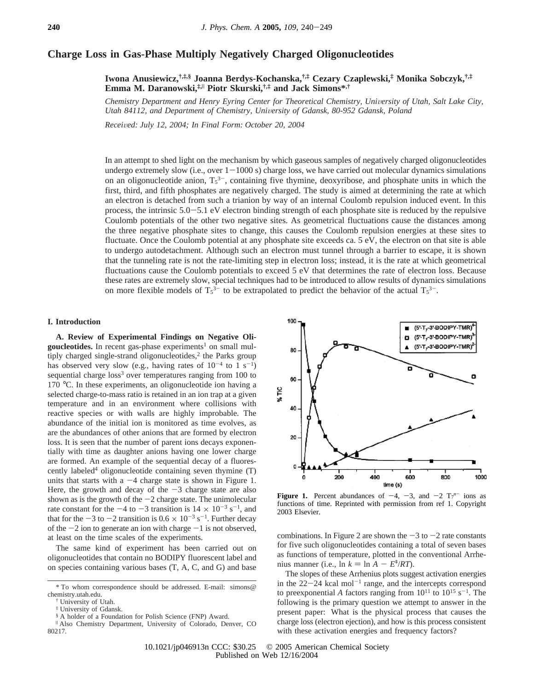# **Charge Loss in Gas-Phase Multiply Negatively Charged Oligonucleotides**

**Iwona Anusiewicz,†,‡,§ Joanna Berdys-Kochanska,†,‡ Cezary Czaplewski,‡ Monika Sobczyk,†,‡ Emma M. Daranowski,‡,**<sup>|</sup> **Piotr Skurski,†,‡ and Jack Simons\*,†**

*Chemistry Department and Henry Eyring Center for Theoretical Chemistry, University of Utah, Salt Lake City, Utah 84112, and Department of Chemistry, University of Gdansk, 80-952 Gdansk, Poland* 

*Recei*V*ed: July 12, 2004; In Final Form: October 20, 2004*

In an attempt to shed light on the mechanism by which gaseous samples of negatively charged oligonucleotides undergo extremely slow (i.e., over  $1-1000$  s) charge loss, we have carried out molecular dynamics simulations on an oligonucleotide anion,  $T_5^3$ , containing five thymine, deoxyribose, and phosphate units in which the first, third, and fifth phosphates are negatively charged. The study is aimed at determining the rate at which an electron is detached from such a trianion by way of an internal Coulomb repulsion induced event. In this process, the intrinsic 5.0-5.1 eV electron binding strength of each phosphate site is reduced by the repulsive Coulomb potentials of the other two negative sites. As geometrical fluctuations cause the distances among the three negative phosphate sites to change, this causes the Coulomb repulsion energies at these sites to fluctuate. Once the Coulomb potential at any phosphate site exceeds ca. 5 eV, the electron on that site is able to undergo autodetachment. Although such an electron must tunnel through a barrier to escape, it is shown that the tunneling rate is not the rate-limiting step in electron loss; instead, it is the rate at which geometrical fluctuations cause the Coulomb potentials to exceed 5 eV that determines the rate of electron loss. Because these rates are extremely slow, special techniques had to be introduced to allow results of dynamics simulations on more flexible models of  $T_5^{3-}$  to be extrapolated to predict the behavior of the actual  $T_5^{3-}$ .

#### **I. Introduction**

**A. Review of Experimental Findings on Negative Oli**goucleotides. In recent gas-phase experiments<sup>1</sup> on small multiply charged single-strand oligonucleotides,<sup>2</sup> the Parks group has observed very slow (e.g., having rates of  $10^{-4}$  to 1 s<sup>-1</sup>) sequential charge  $loss^3$  over temperatures ranging from 100 to 170 °C. In these experiments, an oligonucleotide ion having a selected charge-to-mass ratio is retained in an ion trap at a given temperature and in an environment where collisions with reactive species or with walls are highly improbable. The abundance of the initial ion is monitored as time evolves, as are the abundances of other anions that are formed by electron loss. It is seen that the number of parent ions decays exponentially with time as daughter anions having one lower charge are formed. An example of the sequential decay of a fluorescently labeled<sup>4</sup> oligonucleotide containing seven thymine (T) units that starts with a  $-4$  charge state is shown in Figure 1. Here, the growth and decay of the  $-3$  charge state are also shown as is the growth of the  $-2$  charge state. The unimolecular rate constant for the  $-4$  to  $-3$  transition is  $14 \times 10^{-3}$  s<sup>-1</sup>, and that for the  $-3$  to  $-2$  transition is  $0.6 \times 10^{-3}$  s<sup>-1</sup>. Further decay of the  $-2$  ion to generate an ion with charge  $-1$  is not observed, at least on the time scales of the experiments.

The same kind of experiment has been carried out on oligonucleotides that contain no BODIPY fluorescent label and on species containing various bases (T, A, C, and G) and base



**Figure 1.** Percent abundances of  $-4$ ,  $-3$ , and  $-2$   $T_7^{n-}$  ions as functions of time. Reprinted with permission from ref 1. Convright functions of time. Reprinted with permission from ref 1. Copyright 2003 Elsevier.

combinations. In Figure 2 are shown the  $-3$  to  $-2$  rate constants for five such oligonucleotides containing a total of seven bases as functions of temperature, plotted in the conventional Arrhenius manner (i.e.,  $\ln k = \ln A - E^{\dagger}/RT$ ).

The slopes of these Arrhenius plots suggest activation energies in the  $22-24$  kcal mol<sup>-1</sup> range, and the intercepts correspond to preexponential *A* factors ranging from  $10^{11}$  to  $10^{15}$  s<sup>-1</sup>. The following is the primary question we attempt to answer in the present paper: What is the physical process that causes the charge loss (electron ejection), and how is this process consistent with these activation energies and frequency factors?

<sup>\*</sup> To whom correspondence should be addressed. E-mail: simons@ chemistry.utah.edu.

<sup>†</sup> University of Utah.

<sup>‡</sup> University of Gdansk.

<sup>§</sup> A holder of a Foundation for Polish Science (FNP) Award.

<sup>|</sup> Also Chemistry Department, University of Colorado, Denver, CO 80217.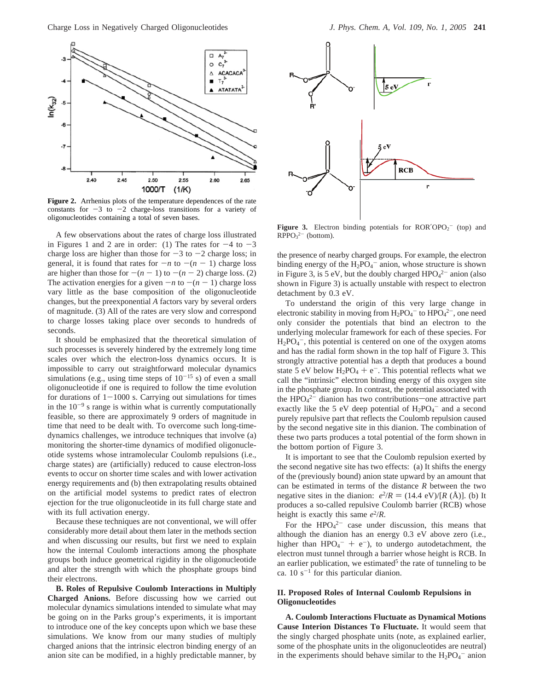

**Figure 2.** Arrhenius plots of the temperature dependences of the rate constants for  $-3$  to  $-2$  charge-loss transitions for a variety of oligonucleotides containing a total of seven bases.

A few observations about the rates of charge loss illustrated in Figures 1 and 2 are in order: (1) The rates for  $-4$  to  $-3$ charge loss are higher than those for  $-3$  to  $-2$  charge loss; in general, it is found that rates for  $-n$  to  $-(n-1)$  charge loss are higher than those for  $-(n-1)$  to  $-(n-2)$  charge loss. (2) The activation energies for a given  $-n$  to  $-(n-1)$  charge loss vary little as the base composition of the oligonucleotide changes, but the preexponential *A* factors vary by several orders of magnitude. (3) All of the rates are very slow and correspond to charge losses taking place over seconds to hundreds of seconds.

It should be emphasized that the theoretical simulation of such processes is severely hindered by the extremely long time scales over which the electron-loss dynamics occurs. It is impossible to carry out straightforward molecular dynamics simulations (e.g., using time steps of  $10^{-15}$  s) of even a small oligonucleotide if one is required to follow the time evolution for durations of  $1-1000$  s. Carrying out simulations for times in the  $10^{-9}$  s range is within what is currently computationally feasible, so there are approximately 9 orders of magnitude in time that need to be dealt with. To overcome such long-timedynamics challenges, we introduce techniques that involve (a) monitoring the shorter-time dynamics of modified oligonucleotide systems whose intramolecular Coulomb repulsions (i.e., charge states) are (artificially) reduced to cause electron-loss events to occur on shorter time scales and with lower activation energy requirements and (b) then extrapolating results obtained on the artificial model systems to predict rates of electron ejection for the true oligonucleotide in its full charge state and with its full activation energy.

Because these techniques are not conventional, we will offer considerably more detail about them later in the methods section and when discussing our results, but first we need to explain how the internal Coulomb interactions among the phosphate groups both induce geometrical rigidity in the oligonucleotide and alter the strength with which the phosphate groups bind their electrons.

**B. Roles of Repulsive Coulomb Interactions in Multiply Charged Anions.** Before discussing how we carried out molecular dynamics simulations intended to simulate what may be going on in the Parks group's experiments, it is important to introduce one of the key concepts upon which we base these simulations. We know from our many studies of multiply charged anions that the intrinsic electron binding energy of an anion site can be modified, in a highly predictable manner, by



**Figure 3.** Electron binding potentials for  $ROR'OPO<sub>2</sub><sup>-</sup>$  (top) and  $RPPO<sub>3</sub><sup>2-</sup> (bottom).$ 

the presence of nearby charged groups. For example, the electron binding energy of the  $H_2PO_4$ <sup>-</sup> anion, whose structure is shown in Figure 3, is 5 eV, but the doubly charged  $HPO<sub>4</sub><sup>2</sup>$  anion (also shown in Figure 3) is actually unstable with respect to electron detachment by 0.3 eV.

To understand the origin of this very large change in electronic stability in moving from  $H_2PO_4^-$  to  $HPO_4^{2-}$ , one need only consider the potentials that bind an electron to the underlying molecular framework for each of these species. For  $H_2PO_4^-$ , this potential is centered on one of the oxygen atoms and has the radial form shown in the top half of Figure 3. This strongly attractive potential has a depth that produces a bound state 5 eV below  $H_2PO_4 + e^-$ . This potential reflects what we call the "intrinsic" electron binding energy of this oxygen site in the phosphate group. In contrast, the potential associated with the  $\text{HPO}_4^2$ <sup>-</sup> dianion has two contributions—one attractive part exactly like the 5 eV deep potential of  $H_2PO_4^-$  and a second purely repulsive part that reflects the Coulomb repulsion caused by the second negative site in this dianion. The combination of these two parts produces a total potential of the form shown in the bottom portion of Figure 3.

It is important to see that the Coulomb repulsion exerted by the second negative site has two effects: (a) It shifts the energy of the (previously bound) anion state upward by an amount that can be estimated in terms of the distance *R* between the two negative sites in the dianion:  $e^2/R = (14.4 \text{ eV})/[R (\text{Å})]$ . (b) It produces a so-called repulsive Coulomb barrier (RCB) whose height is exactly this same  $e^2/R$ .

For the  $HPO_4^{2-}$  case under discussion, this means that although the dianion has an energy 0.3 eV above zero (i.e., higher than  $HPO_4^- + e^-$ , to undergo autodetachment, the electron must tunnel through a barrier whose height is RCB. In electron must tunnel through a barrier whose height is RCB. In an earlier publication, we estimated<sup>5</sup> the rate of tunneling to be ca. 10  $s^{-1}$  for this particular dianion.

## **II. Proposed Roles of Internal Coulomb Repulsions in Oligonucleotides**

**A. Coulomb Interactions Fluctuate as Dynamical Motions Cause Interion Distances To Fluctuate.** It would seem that the singly charged phosphate units (note, as explained earlier, some of the phosphate units in the oligonucleotides are neutral) in the experiments should behave similar to the  $H_2PO_4^-$  anion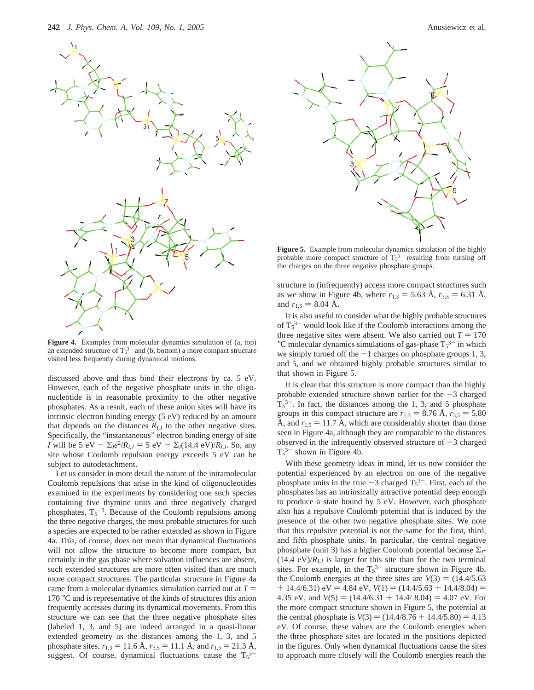

**Figure 4.** Examples from molecular dynamics simulation of (a, top) an extended structure of  $T_5^{3-}$  and (b, bottom) a more compact structure visited less frequently during dynamical motions.

discussed above and thus bind their electrons by ca. 5 eV. However, each of the negative phosphate units in the oligonucleotide is in reasonable proximity to the other negative phosphates. As a result, each of these anion sites will have its intrinsic electron binding energy (5 eV) reduced by an amount that depends on the distances  $R_{I,J}$  to the other negative sites. Specifically, the "instantaneous" electron binding energy of site *I* will be 5 eV  $-\sum_{j}e^{2}/R_{I,j} = 5$  eV  $-\sum_{j} (14.4 \text{ eV})/R_{I,j}$ . So, any site whose Coulomb repulsion energy exceeds 5 eV can be subject to autodetachment.

Let us consider in more detail the nature of the intramolecular Coulomb repulsions that arise in the kind of oligonucleotides examined in the experiments by considering one such species containing five thymine units and three negatively charged phosphates,  $T_5^{-3}$ . Because of the Coulomb repulsions among the three negative charges, the most probable structures for such a species are expected to be rather extended as shown in Figure 4a. This, of course, does not mean that dynamical fluctuations will not allow the structure to become more compact, but certainly in the gas phase where solvation influences are absent, such extended structures are more often visited than are much more compact structures. The particular structure in Figure 4a came from a molecular dynamics simulation carried out at  $T =$ 170 °C and is representative of the kinds of structures this anion frequently accesses during its dynamical movements. From this structure we can see that the three negative phosphate sites (labeled 1, 3, and 5) are indeed arranged in a quasi-linear extended geometry as the distances among the 1, 3, and 5 phosphate sites,  $r_{1,3} = 11.6$  Å,  $r_{3,5} = 11.1$  Å, and  $r_{1,5} = 21.3$  Å, suggest. Of course, dynamical fluctuations cause the  $T_5^{3-}$ 



**Figure 5.** Example from molecular dynamics simulation of the highly probable more compact structure of  $T_5^3$  resulting from turning off the charges on the three negative phosphate groups.

structure to (infrequently) access more compact structures such as we show in Figure 4b, where  $r_{1,3} = 5.63$  Å,  $r_{3,5} = 6.31$  Å, and  $r_{1,5} = 8.04$  Å.

It is also useful to consider what the highly probable structures of  $T_5^{3-}$  would look like if the Coulomb interactions among the three negative sites were absent. We also carried out  $T = 170$  $^{\circ}$ C molecular dynamics simulations of gas-phase  $T_5^{3-}$  in which we simply turned off the  $-1$  charges on phosphate groups 1, 3, and 5, and we obtained highly probable structures similar to that shown in Figure 5.

It is clear that this structure is more compact than the highly probable extended structure shown earlier for the  $-3$  charged  $T_5^3$ . In fact, the distances among the 1, 3, and 5 phosphate groups in this compact structure are  $r_{1,3} = 8.76$  Å,  $r_{3,5} = 5.80$ Å, and  $r_{1.5} = 11.7$  Å, which are considerably shorter than those seen in Figure 4a, although they are comparable to the distances observed in the infrequently observed structure of  $-3$  charged  $T_5^{3-}$  shown in Figure 4b.

With these geometry ideas in mind, let us now consider the potential experienced by an electron on one of the negative phosphate units in the true  $-3$  charged  $T_5^3$ . First, each of the phosphates has an intrinsically attractive potential deep enough phosphates has an intrinsically attractive potential deep enough to produce a state bound by 5 eV. However, each phosphate also has a repulsive Coulomb potential that is induced by the presence of the other two negative phosphate sites. We note that this repulsive potential is not the same for the first, third, and fifth phosphate units. In particular, the central negative phosphate (unit 3) has a higher Coulomb potential because Σ*J*-  $(14.4 \text{ eV})/R_{I,J}$  is larger for this site than for the two terminal sites. For example, in the  $T_5^{3-}$  structure shown in Figure 4b, the Coulomb energies at the three sites are  $V(3) = (14.4/5.63)$  $+$  14.4/6.31) eV = 4.84 eV,  $V(1) = (14.4/5.63 + 14.4/8.04) =$ 4.35 eV, and  $V(5) = (14.4/6.31 + 14.4/ 8.04) = 4.07$  eV. For the more compact structure shown in Figure 5, the potential at the central phosphate is  $V(3) = (14.4/8.76 + 14.4/5.80) = 4.13$ eV. Of course, these values are the Coulomb energies when the three phosphate sites are located in the positions depicted in the figures. Only when dynamical fluctuations cause the sites to approach more closely will the Coulomb energies reach the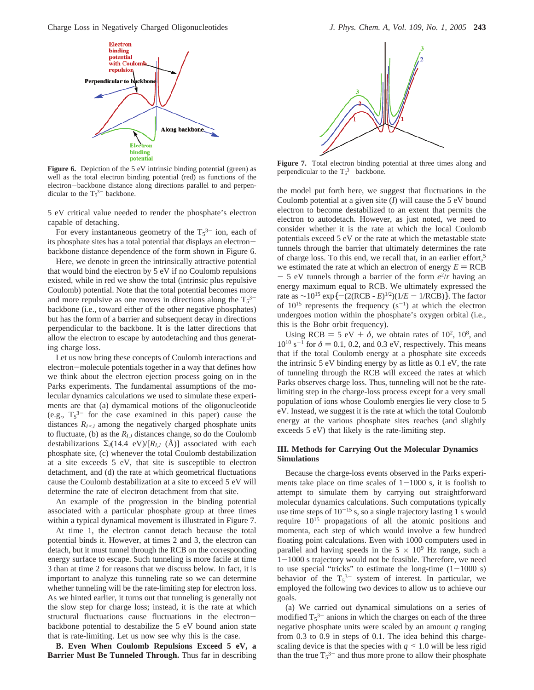Charge Loss in Negatively Charged Oligonucleotides *J. Phys. Chem. A, Vol. 109, No. 1, 2005* **243**



Figure 6. Depiction of the 5 eV intrinsic binding potential (green) as well as the total electron binding potential (red) as functions of the electron-backbone distance along directions parallel to and perpendicular to the  $T_5^{3-}$  backbone.

5 eV critical value needed to render the phosphate's electron capable of detaching.

For every instantaneous geometry of the  $T_5^3$  ion, each of its phosphate sites has a total potential that displays an electronbackbone distance dependence of the form shown in Figure 6.

Here, we denote in green the intrinsically attractive potential that would bind the electron by 5 eV if no Coulomb repulsions existed, while in red we show the total (intrinsic plus repulsive Coulomb) potential. Note that the total potential becomes more and more repulsive as one moves in directions along the  $T_5^{3-}$ backbone (i.e., toward either of the other negative phosphates) but has the form of a barrier and subsequent decay in directions perpendicular to the backbone. It is the latter directions that allow the electron to escape by autodetaching and thus generating charge loss.

Let us now bring these concepts of Coulomb interactions and electron-molecule potentials together in a way that defines how we think about the electron ejection process going on in the Parks experiments. The fundamental assumptions of the molecular dynamics calculations we used to simulate these experiments are that (a) dymamical motions of the oligonucleotide (e.g.,  $T_5^{3-}$  for the case examined in this paper) cause the distances  $R_{I \leq J}$  among the negatively charged phosphate units to fluctuate, (b) as the  $R_{IJ}$  distances change, so do the Coulomb destabilizations  $\Sigma_J(14.4 \text{ eV})/[R_{IJ}(\text{A})]$  associated with each phosphate site, (c) whenever the total Coulomb destabilization at a site exceeds 5 eV, that site is susceptible to electron detachment, and (d) the rate at which geometrical fluctuations cause the Coulomb destabilization at a site to exceed 5 eV will determine the rate of electron detachment from that site.

An example of the progression in the binding potential associated with a particular phosphate group at three times within a typical dynamical movement is illustrated in Figure 7.

At time 1, the electron cannot detach because the total potential binds it. However, at times 2 and 3, the electron can detach, but it must tunnel through the RCB on the corresponding energy surface to escape. Such tunneling is more facile at time 3 than at time 2 for reasons that we discuss below. In fact, it is important to analyze this tunneling rate so we can determine whether tunneling will be the rate-limiting step for electron loss. As we hinted earlier, it turns out that tunneling is generally not the slow step for charge loss; instead, it is the rate at which structural fluctuations cause fluctuations in the electronbackbone potential to destabilize the 5 eV bound anion state that is rate-limiting. Let us now see why this is the case.

**B. Even When Coulomb Repulsions Exceed 5 eV, a Barrier Must Be Tunneled Through.** Thus far in describing



**Figure 7.** Total electron binding potential at three times along and perpendicular to the  $T_5^{3-}$  backbone.

the model put forth here, we suggest that fluctuations in the Coulomb potential at a given site (*I*) will cause the 5 eV bound electron to become destabilized to an extent that permits the electron to autodetach. However, as just noted, we need to consider whether it is the rate at which the local Coulomb potentials exceed 5 eV or the rate at which the metastable state tunnels through the barrier that ultimately determines the rate of charge loss. To this end, we recall that, in an earlier effort,<sup>5</sup> we estimated the rate at which an electron of energy  $E = RCB$  $-$  5 eV tunnels through a barrier of the form  $e^2/r$  having an energy maximum equal to RCB. We ultimately expressed the rate as ~10<sup>15</sup> exp{ – (2(RCB - *E*)<sup>1/2</sup>)(1/*E* – 1/RCB)}. The factor of  $10^{15}$  represents the frequency  $(s^{-1})$  at which the electron undergoes motion within the phosphate's oxygen orbital (i.e., this is the Bohr orbit frequency).

Using RCB  $= 5 \text{ eV} + \delta$ , we obtain rates of 10<sup>2</sup>, 10<sup>8</sup>, and  $10^{10}$  s<sup>-1</sup> for  $\delta$  = 0.1, 0.2, and 0.3 eV, respectively. This means that if the total Coulomb energy at a phosphate site exceeds the intrinsic 5 eV binding energy by as little as 0.1 eV, the rate of tunneling through the RCB will exceed the rates at which Parks observes charge loss. Thus, tunneling will not be the ratelimiting step in the charge-loss process except for a very small population of ions whose Coulomb energies lie very close to 5 eV. Instead, we suggest it is the rate at which the total Coulomb energy at the various phosphate sites reaches (and slightly exceeds 5 eV) that likely is the rate-limiting step.

## **III. Methods for Carrying Out the Molecular Dynamics Simulations**

Because the charge-loss events observed in the Parks experiments take place on time scales of  $1-1000$  s, it is foolish to attempt to simulate them by carrying out straightforward molecular dynamics calculations. Such computations typically use time steps of  $10^{-15}$  s, so a single trajectory lasting 1 s would require 1015 propagations of all the atomic positions and momenta, each step of which would involve a few hundred floating point calculations. Even with 1000 computers used in parallel and having speeds in the  $5 \times 10^9$  Hz range, such a <sup>1</sup>-1000 s trajectory would not be feasible. Therefore, we need to use special "tricks" to estimate the long-time  $(1-1000 s)$ behavior of the  $T_5^{3-}$  system of interest. In particular, we employed the following two devices to allow us to achieve our goals.

(a) We carried out dynamical simulations on a series of modified  $T_5^3$ <sup>-</sup> anions in which the charges on each of the three negative phosphate units were scaled by an amount *q* ranging from 0.3 to 0.9 in steps of 0.1. The idea behind this chargescaling device is that the species with  $q \leq 1.0$  will be less rigid than the true  $T_5^{3-}$  and thus more prone to allow their phosphate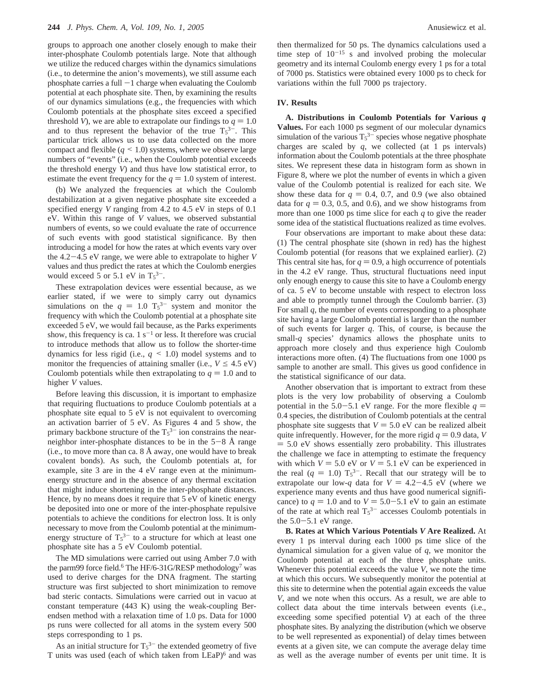groups to approach one another closely enough to make their inter-phosphate Coulomb potentials large. Note that although we utilize the reduced charges within the dynamics simulations (i.e., to determine the anion's movements), we still assume each phosphate carries a full  $-1$  charge when evaluating the Coulomb potential at each phosphate site. Then, by examining the results of our dynamics simulations (e.g., the frequencies with which Coulomb potentials at the phosphate sites exceed a specified threshold *V*), we are able to extrapolate our findings to  $q = 1.0$ and to thus represent the behavior of the true  $T_5^{3-}$ . This particular trick allows us to use data collected on the more compact and flexible  $(q \leq 1.0)$  systems, where we observe large numbers of "events" (i.e., when the Coulomb potential exceeds the threshold energy *V*) and thus have low statistical error, to estimate the event frequency for the  $q = 1.0$  system of interest.

(b) We analyzed the frequencies at which the Coulomb destabilization at a given negative phosphate site exceeded a specified energy *V* ranging from 4.2 to 4.5 eV in steps of 0.1 eV. Within this range of *V* values, we observed substantial numbers of events, so we could evaluate the rate of occurrence of such events with good statistical significance. By then introducing a model for how the rates at which events vary over the 4.2-4.5 eV range, we were able to extrapolate to higher *<sup>V</sup>* values and thus predict the rates at which the Coulomb energies would exceed 5 or 5.1 eV in  $T_5^{3-}$ .

These extrapolation devices were essential because, as we earlier stated, if we were to simply carry out dynamics simulations on the  $q = 1.0$  T<sub>5</sub><sup>3-</sup> system and monitor the frequency with which the Coulomb potential at a phosphate site frequency with which the Coulomb potential at a phosphate site exceeded 5 eV, we would fail because, as the Parks experiments show, this frequency is ca.  $1 \text{ s}^{-1}$  or less. It therefore was crucial to introduce methods that allow us to follow the shorter-time dynamics for less rigid (i.e., *<sup>q</sup>* < 1.0) model systems and to monitor the frequencies of attaining smaller (i.e.,  $V \leq 4.5$  eV) Coulomb potentials while then extrapolating to  $q = 1.0$  and to higher *V* values.

Before leaving this discussion, it is important to emphasize that requiring fluctuations to produce Coulomb potentials at a phosphate site equal to 5 eV is not equivalent to overcoming an activation barrier of 5 eV. As Figures 4 and 5 show, the primary backbone structure of the  $T_5^{3-}$  ion constrains the nearneighbor inter-phosphate distances to be in the  $5-8$  Å range (i.e., to move more than ca.  $8 \text{ Å}$  away, one would have to break covalent bonds). As such, the Coulomb potentials at, for example, site 3 are in the 4 eV range even at the minimumenergy structure and in the absence of any thermal excitation that might induce shortening in the inter-phosphate distances. Hence, by no means does it require that 5 eV of kinetic energy be deposited into one or more of the inter-phosphate repulsive potentials to achieve the conditions for electron loss. It is only necessary to move from the Coulomb potential at the minimumenergy structure of  $T_5^{3-}$  to a structure for which at least one phosphate site has a 5 eV Coulomb potential.

The MD simulations were carried out using Amber 7.0 with the parm99 force field.<sup>6</sup> The HF/6-31G/RESP methodology<sup>7</sup> was used to derive charges for the DNA fragment. The starting structure was first subjected to short minimization to remove bad steric contacts. Simulations were carried out in vacuo at constant temperature (443 K) using the weak-coupling Berendsen method with a relaxation time of 1.0 ps. Data for 1000 ps runs were collected for all atoms in the system every 500 steps corresponding to 1 ps.

As an initial structure for  $T_5^{3-}$  the extended geometry of five T units was used (each of which taken from LEaP)6 and was then thermalized for 50 ps. The dynamics calculations used a time step of  $10^{-15}$  s and involved probing the molecular geometry and its internal Coulomb energy every 1 ps for a total of 7000 ps. Statistics were obtained every 1000 ps to check for variations within the full 7000 ps trajectory.

## **IV. Results**

**A. Distributions in Coulomb Potentials for Various** *q* **Values.** For each 1000 ps segment of our molecular dynamics simulation of the various  $T_5^{3-}$  species whose negative phosphate charges are scaled by  $q$ , we collected (at 1 ps intervals) information about the Coulomb potentials at the three phosphate sites. We represent these data in histogram form as shown in Figure 8, where we plot the number of events in which a given value of the Coulomb potential is realized for each site. We show these data for  $q = 0.4, 0.7,$  and 0.9 (we also obtained data for  $q = 0.3, 0.5,$  and 0.6), and we show histograms from more than one 1000 ps time slice for each *q* to give the reader some idea of the statistical fluctuations realized as time evolves.

Four observations are important to make about these data: (1) The central phosphate site (shown in red) has the highest Coulomb potential (for reasons that we explained earlier). (2) This central site has, for  $q = 0.9$ , a high occurrence of potentials in the 4.2 eV range. Thus, structural fluctuations need input only enough energy to cause this site to have a Coulomb energy of ca. 5 eV to become unstable with respect to electron loss and able to promptly tunnel through the Coulomb barrier. (3) For small *q*, the number of events corresponding to a phosphate site having a large Coulomb potential is larger than the number of such events for larger *q*. This, of course, is because the small-*q* species' dynamics allows the phosphate units to approach more closely and thus experience high Coulomb interactions more often. (4) The fluctuations from one 1000 ps sample to another are small. This gives us good confidence in the statistical significance of our data.

Another observation that is important to extract from these plots is the very low probability of observing a Coulomb potential in the 5.0–5.1 eV range. For the more flexible  $q =$ 0.4 species, the distribution of Coulomb potentials at the central phosphate site suggests that  $V = 5.0$  eV can be realized albeit quite infrequently. However, for the more rigid  $q = 0.9$  data, *V*  $=$  5.0 eV shows essentially zero probability. This illustrates the challenge we face in attempting to estimate the frequency with which  $V = 5.0$  eV or  $V = 5.1$  eV can be experienced in the real  $(q = 1.0)$  T<sub>5</sub><sup>3-</sup>. Recall that our strategy will be to extrapolate our low-q data for  $V = 4.2-4.5$  eV (where we extrapolate our low-*q* data for  $V = 4.2 - 4.5$  eV (where we experience many events and thus have good numerical significance) to  $q = 1.0$  and to  $V = 5.0 - 5.1$  eV to gain an estimate of the rate at which real  $T_5^{3-}$  accesses Coulomb potentials in the  $5.0 - 5.1$  eV range.

**B. Rates at Which Various Potentials** *V* **Are Realized.** At every 1 ps interval during each 1000 ps time slice of the dynamical simulation for a given value of *q*, we monitor the Coulomb potential at each of the three phosphate units. Whenever this potential exceeds the value *V*, we note the time at which this occurs. We subsequently monitor the potential at this site to determine when the potential again exceeds the value *V*, and we note when this occurs. As a result, we are able to collect data about the time intervals between events (i.e., exceeding some specified potential *V*) at each of the three phosphate sites. By analyzing the distribution (which we observe to be well represented as exponential) of delay times between events at a given site, we can compute the average delay time as well as the average number of events per unit time. It is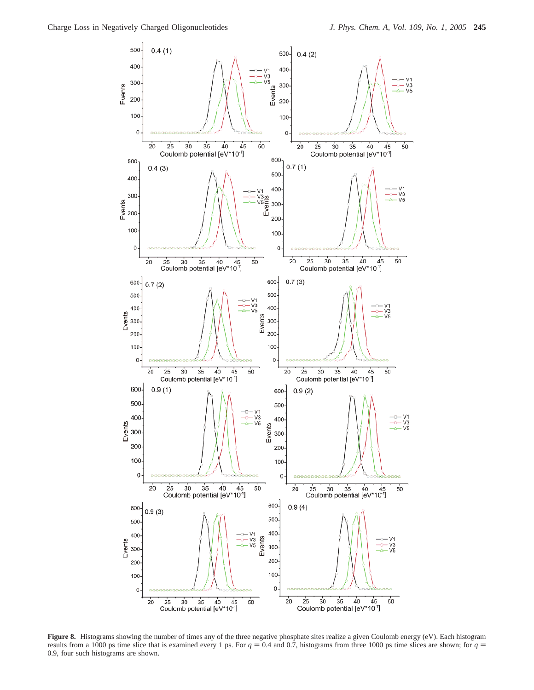

**Figure 8.** Histograms showing the number of times any of the three negative phosphate sites realize a given Coulomb energy (eV). Each histogram results from a 1000 ps time slice that is examined every 1 ps. For  $q = 0.4$  and 0.7, histograms from three 1000 ps time slices are shown; for  $q =$ 0.9, four such histograms are shown.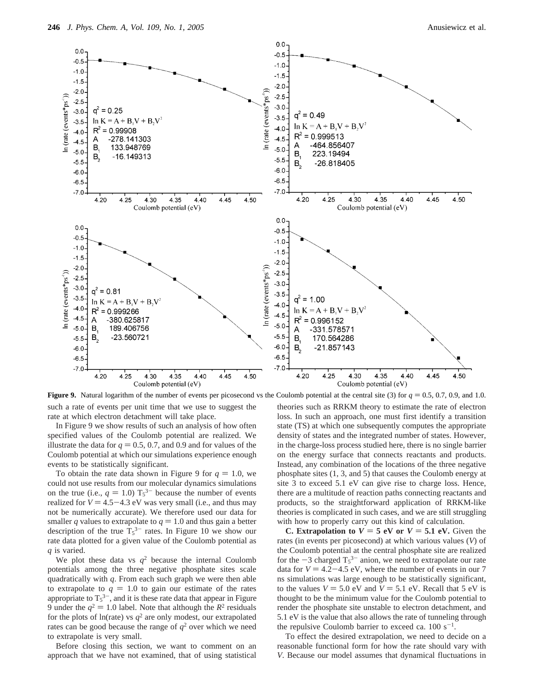

such a rate of events per unit time that we use to suggest the rate at which electron detachment will take place. **Figure 9.** Natural logarithm of the number of events per picosecond vs the Coulomb potential at the central site (3) for  $q = 0.5, 0.7, 0.9$ , and 1.0.

In Figure 9 we show results of such an analysis of how often specified values of the Coulomb potential are realized. We illustrate the data for  $q = 0.5, 0.7$ , and 0.9 and for values of the Coulomb potential at which our simulations experience enough events to be statistically significant.

To obtain the rate data shown in Figure 9 for  $q = 1.0$ , we could not use results from our molecular dynamics simulations on the true (i.e.,  $q = 1.0$ )  $T_5^{3-}$  because the number of events<br>realized for  $V = 4.5 - 4.3$  eV was very small (i.e., and thus may realized for  $V = 4.5 - 4.3$  eV was very small (i.e., and thus may not be numerically accurate). We therefore used our data for smaller *q* values to extrapolate to  $q = 1.0$  and thus gain a better description of the true  $T_5^{3-}$  rates. In Figure 10 we show our rate data plotted for a given value of the Coulomb potential as *q* is varied.

We plot these data vs  $q^2$  because the internal Coulomb potentials among the three negative phosphate sites scale quadratically with *q*. From each such graph we were then able to extrapolate to  $q = 1.0$  to gain our estimate of the rates appropriate to  $T_5^{3-}$ , and it is these rate data that appear in Figure 9 under the  $q^2 = 1.0$  label. Note that although the  $R^2$  residuals for the plots of ln(rate) vs  $q^2$  are only modest, our extrapolated rates can be good because the range of  $q^2$  over which we need to extrapolate is very small.

Before closing this section, we want to comment on an approach that we have not examined, that of using statistical theories such as RRKM theory to estimate the rate of electron loss. In such an approach, one must first identify a transition state (TS) at which one subsequently computes the appropriate density of states and the integrated number of states. However, in the charge-loss process studied here, there is no single barrier on the energy surface that connects reactants and products. Instead, any combination of the locations of the three negative phosphate sites (1, 3, and 5) that causes the Coulomb energy at site 3 to exceed 5.1 eV can give rise to charge loss. Hence, there are a multitude of reaction paths connecting reactants and products, so the straightforward application of RRKM-like theories is complicated in such cases, and we are still struggling with how to properly carry out this kind of calculation.

**C. Extrapolation to**  $V = 5$  eV or  $V = 5.1$  eV. Given the rates (in events per picosecond) at which various values (*V*) of the Coulomb potential at the central phosphate site are realized for the  $-3$  charged  $T_5^{3-}$  anion, we need to extrapolate our rate<br>data for  $V = 4.2 - 4.5$  eV, where the number of events in our 7 data for  $V = 4.2 - 4.5$  eV, where the number of events in our 7 ns simulations was large enough to be statistically significant, to the values  $V = 5.0$  eV and  $V = 5.1$  eV. Recall that 5 eV is thought to be the minimum value for the Coulomb potential to render the phosphate site unstable to electron detachment, and 5.1 eV is the value that also allows the rate of tunneling through the repulsive Coulomb barrier to exceed ca.  $100 \text{ s}^{-1}$ .

To effect the desired extrapolation, we need to decide on a reasonable functional form for how the rate should vary with *V*. Because our model assumes that dynamical fluctuations in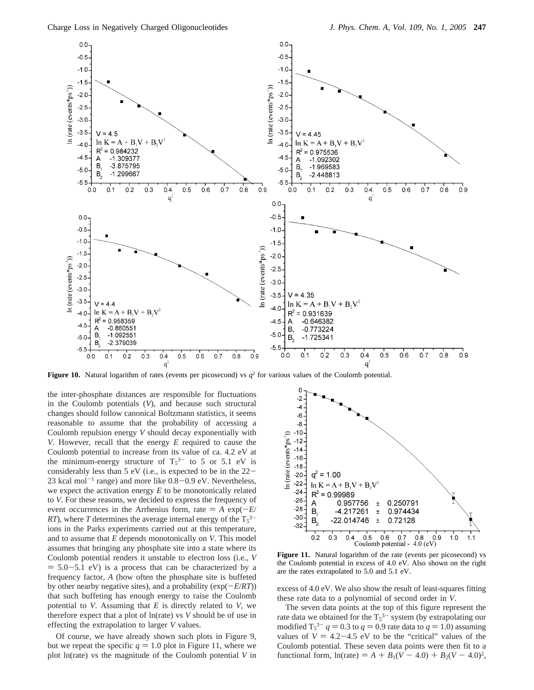

**Figure 10.** Natural logarithm of rates (events per picosecond) vs  $q^2$  for various values of the Coulomb potential.

the inter-phosphate distances are responsible for fluctuations in the Coulomb potentials (*V*), and because such structural changes should follow canonical Boltzmann statistics, it seems reasonable to assume that the probability of accessing a Coulomb repulsion energy *V* should decay exponentially with *V*. However, recall that the energy *E* required to cause the Coulomb potential to increase from its value of ca. 4.2 eV at the minimum-energy structure of  $T_5^{3-}$  to 5 or 5.1 eV is considerably less than 5 eV (i.e., is expected to be in the 22- 23 kcal mol<sup>-1</sup> range) and more like  $0.8$ -0.9 eV. Nevertheless, we expect the activation energy *E* to be monotonically related to *V*. For these reasons, we decided to express the frequency of event occurrences in the Arrhenius form, rate  $= A \exp(-E/T)$ *RT*), where *T* determines the average internal energy of the  $T_5^{3-}$ ions in the Parks experiments carried out at this temperature, and to assume that *E* depends monotonically on *V*. This model assumes that bringing any phosphate site into a state where its Coulomb potential renders it unstable to electron loss (i.e., *V*  $= 5.0 - 5.1$  eV) is a process that can be characterized by a frequency factor, *A* (how often the phosphate site is buffeted by other nearby negative sites), and a probability ( $exp(-E/RT)$ ) that such buffeting has enough energy to raise the Coulomb potential to *V*. Assuming that *E* is directly related to *V*, we therefore expect that a plot of ln(rate) vs *V* should be of use in effecting the extrapolation to larger *V* values.

Of course, we have already shown such plots in Figure 9, but we repeat the specific  $q = 1.0$  plot in Figure 11, where we plot ln(rate) vs the magnitude of the Coulomb potential *V* in



the Coulomb potential in excess of 4.0 eV. Also shown on the right are the rates extrapolated to 5.0 and 5.1 eV.

excess of 4.0 eV. We also show the result of least-squares fitting these rate data to a polynomial of second order in *V*.

The seven data points at the top of this figure represent the rate data we obtained for the  $T_5^{3-}$  system (by extrapolating our modified  $T_5^{3-} q = 0.3$  to  $q = 0.9$  rate data to  $q = 1.0$ ) assuming<br>values of  $V = 4.2 - 4.5$  eV to be the "critical" values of the values of  $V = 4.2 - 4.5$  eV to be the "critical" values of the Coulomb potential. These seven data points were then fit to a functional form,  $ln(\text{rate}) = A + B_1(V - 4.0) + B_2(V - 4.0)^2$ ,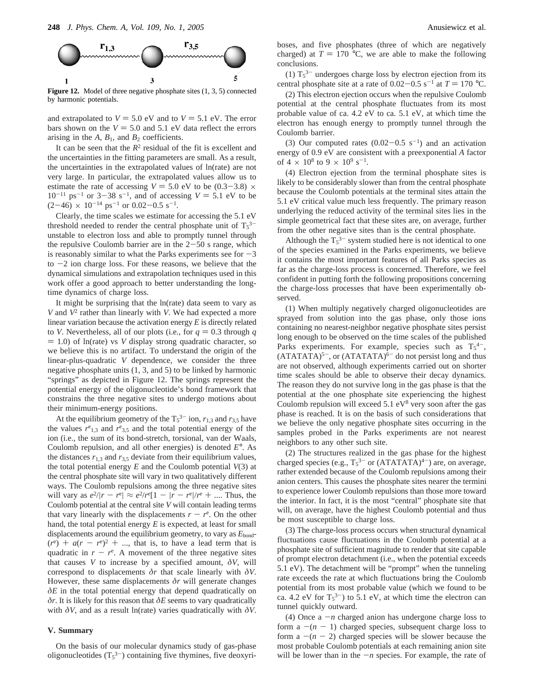

Figure 12. Model of three negative phosphate sites  $(1, 3, 5)$  connected by harmonic potentials.

and extrapolated to  $V = 5.0$  eV and to  $V = 5.1$  eV. The error bars shown on the  $V = 5.0$  and  $5.1$  eV data reflect the errors arising in the  $A$ ,  $B_1$ , and  $B_2$  coefficients.

It can be seen that the *R*<sup>2</sup> residual of the fit is excellent and the uncertainties in the fitting parameters are small. As a result, the uncertainties in the extrapolated values of ln(rate) are not very large. In particular, the extrapolated values allow us to estimate the rate of accessing  $V = 5.0$  eV to be  $(0.3-3.8) \times$  $10^{-11}$  ps<sup>-1</sup> or 3-38 s<sup>-1</sup>, and of accessing  $V = 5.1$  eV to be  $(2-46) \times 10^{-14}$  ps<sup>-1</sup> or 0.02-0.5 s<sup>-1</sup>.

Clearly, the time scales we estimate for accessing the 5.1 eV threshold needed to render the central phosphate unit of  $T_5^{3-}$ unstable to electron loss and able to promptly tunnel through the repulsive Coulomb barrier are in the  $2-50$  s range, which is reasonably similar to what the Parks experiments see for  $-3$ to  $-2$  ion charge loss. For these reasons, we believe that the dynamical simulations and extrapolation techniques used in this work offer a good approach to better understanding the longtime dynamics of charge loss.

It might be surprising that the ln(rate) data seem to vary as *V* and *V*<sup>2</sup> rather than linearly with *V*. We had expected a more linear variation because the activation energy *E* is directly related to *V*. Nevertheless, all of our plots (i.e., for  $q = 0.3$  through *q*  $= 1.0$ ) of ln(rate) vs *V* display strong quadratic character, so we believe this is no artifact. To understand the origin of the linear-plus-quadratic *V* dependence, we consider the three negative phosphate units (1, 3, and 5) to be linked by harmonic "springs" as depicted in Figure 12. The springs represent the potential energy of the oligonucleotide's bond framework that constrains the three negative sites to undergo motions about their minimum-energy positions.

At the equilibrium geometry of the  $T_5^{3-}$  ion,  $r_{1,3}$  and  $r_{3,5}$  have the values  $r_{1,3}$  and  $r_{3,5}$  and the total potential energy of the ion (i.e., the sum of its bond-stretch, torsional, van der Waals, Coulomb repulsion, and all other energies) is denoted *E*°. As the distances  $r_{1,3}$  and  $r_{3,5}$  deviate from their equilibrium values, the total potential energy  $E$  and the Coulomb potential  $V(3)$  at the central phosphate site will vary in two qualitatively different ways. The Coulomb repulsions among the three negative sites will vary as  $e^2/|r - r^e| \approx e^2/r^e[1 - |r - r^e|/r^e + \dots]$ . Thus, the Coulomb potential at the central site *V* will contain leading terms that vary linearly with the displacements  $r - r^e$ . On the other<br>hand the total potential energy *F* is expected at least for small hand, the total potential energy *E* is expected, at least for small displacements around the equilibrium geometry, to vary as  $E_{\text{bond}}$ - $(r^{\epsilon}) + a(r - r^{\epsilon})^2 + ...$ , that is, to have a lead term that is quadratic in  $r - r^{\epsilon}$ . A movement of the three negative sites quadratic in  $r - r^e$ . A movement of the three negative sites<br>that causes V to increase by a specified amount  $\delta V$  will that causes *V* to increase by a specified amount,  $\delta V$ , will correspond to displacements *δr* that scale linearly with *δV*. However, these same displacements *δr* will generate changes *δE* in the total potential energy that depend quadratically on *δr*. It is likely for this reason that *δE* seems to vary quadratically with  $\delta V$ , and as a result ln(rate) varies quadratically with  $\delta V$ .

#### **V. Summary**

On the basis of our molecular dynamics study of gas-phase oligonucleotides  $(T_5^3)$  containing five thymines, five deoxyriboses, and five phosphates (three of which are negatively charged) at  $T = 170$  °C, we are able to make the following conclusions.

(1)  $T_5^3$ <sup>-</sup> undergoes charge loss by electron ejection from its central phosphate site at a rate of  $0.02 - 0.5$  s<sup>-1</sup> at  $T = 170$  °C.

(2) This electron ejection occurs when the repulsive Coulomb potential at the central phosphate fluctuates from its most probable value of ca. 4.2 eV to ca. 5.1 eV, at which time the electron has enough energy to promptly tunnel through the Coulomb barrier.

(3) Our computed rates  $(0.02-0.5 \text{ s}^{-1})$  and an activation energy of 0.9 eV are consistent with a preexponential *A* factor of  $4 \times 10^8$  to  $9 \times 10^9$  s<sup>-1</sup>.

(4) Electron ejection from the terminal phosphate sites is likely to be considerably slower than from the central phosphate because the Coulomb potentials at the terminal sites attain the 5.1 eV critical value much less frequently. The primary reason underlying the reduced activity of the terminal sites lies in the simple geometrical fact that these sites are, on average, further from the other negative sites than is the central phosphate.

Although the  $T_5^{3-}$  system studied here is not identical to one of the species examined in the Parks experiments, we believe it contains the most important features of all Parks species as far as the charge-loss process is concerned. Therefore, we feel confident in putting forth the following propositions concerning the charge-loss processes that have been experimentally observed.

(1) When multiply negatively charged oligonucleotides are sprayed from solution into the gas phase, only those ions containing no nearest-neighbor negative phosphate sites persist long enough to be observed on the time scales of the published Parks experiments. For example, species such as  $T_5^{4-}$ ,  $(ATATATA)^{5-}$ , or  $(ATATATA)^{6-}$  do not persist long and thus are not observed, although experiments carried out on shorter time scales should be able to observe their decay dynamics. The reason they do not survive long in the gas phase is that the potential at the one phosphate site experiencing the highest Coulomb repulsion will exceed  $5.1 \text{ eV}^8$  very soon after the gas phase is reached. It is on the basis of such considerations that we believe the only negative phosphate sites occurring in the samples probed in the Parks experiments are not nearest neighbors to any other such site.

(2) The structures realized in the gas phase for the highest charged species (e.g.,  $T_5^{3-}$  or  $(ATATATA)^{4-}$ ) are, on average, rather extended because of the Coulomb repulsions among their anion centers. This causes the phosphate sites nearer the termini to experience lower Coulomb repulsions than those more toward the interior. In fact, it is the most "central" phosphate site that will, on average, have the highest Coulomb potential and thus be most susceptible to charge loss.

(3) The charge-loss process occurs when structural dynamical fluctuations cause fluctuations in the Coulomb potential at a phosphate site of sufficient magnitude to render that site capable of prompt electron detachment (i.e., when the potential exceeds 5.1 eV). The detachment will be "prompt" when the tunneling rate exceeds the rate at which fluctuations bring the Coulomb potential from its most probable value (which we found to be ca. 4.2 eV for  $T_5^{3-}$ ) to 5.1 eV, at which time the electron can tunnel quickly outward.

(4) Once a  $-n$  charged anion has undergone charge loss to form a  $-(n - 1)$  charged species, subsequent charge loss to form a  $-(n - 2)$  charged species will be slower because the most probable Coulomb potentials at each remaining anion site will be lower than in the  $-n$  species. For example, the rate of